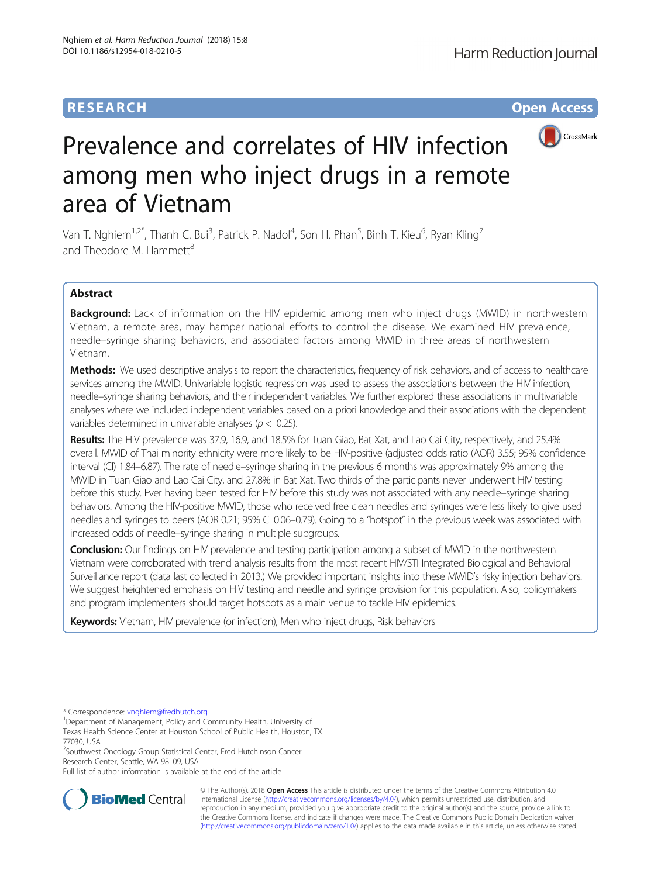## **RESEARCH CHE Open Access**



# Prevalence and correlates of HIV infection among men who inject drugs in a remote area of Vietnam

Van T. Nghiem $^{1,2^*}$ , Thanh C. Bui $^3$ , Patrick P. Nadol $^4$ , Son H. Phan $^5$ , Binh T. Kieu $^6$ , Ryan Kling $^7$ and Theodore M. Hammett<sup>8</sup>

## Abstract

Background: Lack of information on the HIV epidemic among men who inject drugs (MWID) in northwestern Vietnam, a remote area, may hamper national efforts to control the disease. We examined HIV prevalence, needle–syringe sharing behaviors, and associated factors among MWID in three areas of northwestern Vietnam.

Methods: We used descriptive analysis to report the characteristics, frequency of risk behaviors, and of access to healthcare services among the MWID. Univariable logistic regression was used to assess the associations between the HIV infection, needle–syringe sharing behaviors, and their independent variables. We further explored these associations in multivariable analyses where we included independent variables based on a priori knowledge and their associations with the dependent variables determined in univariable analyses ( $p < 0.25$ ).

Results: The HIV prevalence was 37.9, 16.9, and 18.5% for Tuan Giao, Bat Xat, and Lao Cai City, respectively, and 25.4% overall. MWID of Thai minority ethnicity were more likely to be HIV-positive (adjusted odds ratio (AOR) 3.55; 95% confidence interval (CI) 1.84–6.87). The rate of needle–syringe sharing in the previous 6 months was approximately 9% among the MWID in Tuan Giao and Lao Cai City, and 27.8% in Bat Xat. Two thirds of the participants never underwent HIV testing before this study. Ever having been tested for HIV before this study was not associated with any needle–syringe sharing behaviors. Among the HIV-positive MWID, those who received free clean needles and syringes were less likely to give used needles and syringes to peers (AOR 0.21; 95% CI 0.06–0.79). Going to a "hotspot" in the previous week was associated with increased odds of needle–syringe sharing in multiple subgroups.

Conclusion: Our findings on HIV prevalence and testing participation among a subset of MWID in the northwestern Vietnam were corroborated with trend analysis results from the most recent HIV/STI Integrated Biological and Behavioral Surveillance report (data last collected in 2013.) We provided important insights into these MWID's risky injection behaviors. We suggest heightened emphasis on HIV testing and needle and syringe provision for this population. Also, policymakers and program implementers should target hotspots as a main venue to tackle HIV epidemics.

Keywords: Vietnam, HIV prevalence (or infection), Men who inject drugs, Risk behaviors

\* Correspondence: [vnghiem@fredhutch.org](mailto:vnghiem@fredhutch.org) <sup>1</sup>

<sup>1</sup>Department of Management, Policy and Community Health, University of Texas Health Science Center at Houston School of Public Health, Houston, TX

77030, USA

<sup>2</sup>Southwest Oncology Group Statistical Center, Fred Hutchinson Cancer Research Center, Seattle, WA 98109, USA

Full list of author information is available at the end of the article



© The Author(s). 2018 Open Access This article is distributed under the terms of the Creative Commons Attribution 4.0 International License [\(http://creativecommons.org/licenses/by/4.0/](http://creativecommons.org/licenses/by/4.0/)), which permits unrestricted use, distribution, and reproduction in any medium, provided you give appropriate credit to the original author(s) and the source, provide a link to the Creative Commons license, and indicate if changes were made. The Creative Commons Public Domain Dedication waiver [\(http://creativecommons.org/publicdomain/zero/1.0/](http://creativecommons.org/publicdomain/zero/1.0/)) applies to the data made available in this article, unless otherwise stated.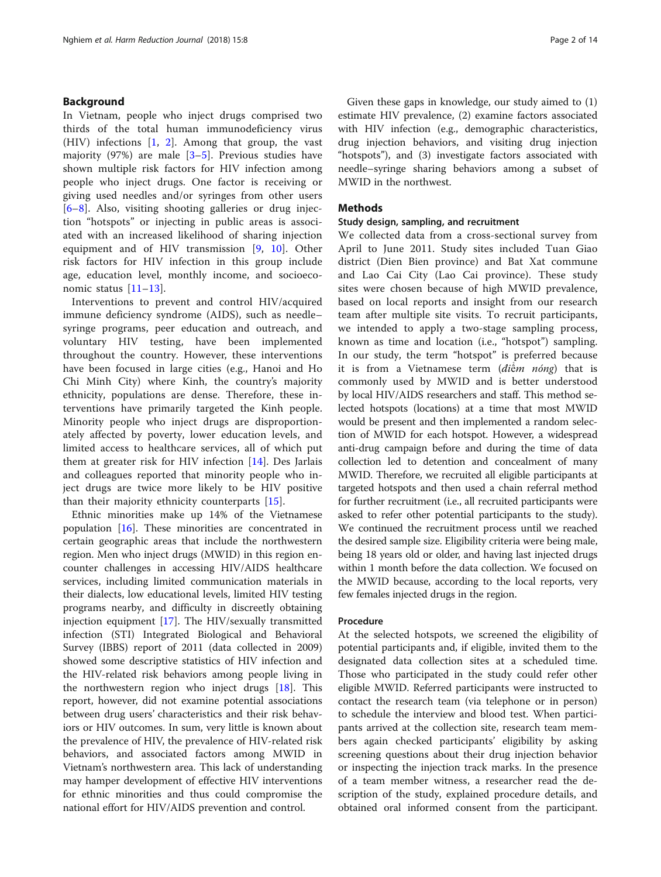## Background

In Vietnam, people who inject drugs comprised two thirds of the total human immunodeficiency virus (HIV) infections  $[1, 2]$  $[1, 2]$  $[1, 2]$  $[1, 2]$ . Among that group, the vast majority (97%) are male [[3](#page-12-0)–[5\]](#page-12-0). Previous studies have shown multiple risk factors for HIV infection among people who inject drugs. One factor is receiving or giving used needles and/or syringes from other users [[6](#page-12-0)–[8\]](#page-12-0). Also, visiting shooting galleries or drug injection "hotspots" or injecting in public areas is associated with an increased likelihood of sharing injection equipment and of HIV transmission [[9,](#page-12-0) [10](#page-12-0)]. Other risk factors for HIV infection in this group include age, education level, monthly income, and socioeconomic status [[11](#page-12-0)–[13](#page-13-0)].

Interventions to prevent and control HIV/acquired immune deficiency syndrome (AIDS), such as needle– syringe programs, peer education and outreach, and voluntary HIV testing, have been implemented throughout the country. However, these interventions have been focused in large cities (e.g., Hanoi and Ho Chi Minh City) where Kinh, the country's majority ethnicity, populations are dense. Therefore, these interventions have primarily targeted the Kinh people. Minority people who inject drugs are disproportionately affected by poverty, lower education levels, and limited access to healthcare services, all of which put them at greater risk for HIV infection [[14\]](#page-13-0). Des Jarlais and colleagues reported that minority people who inject drugs are twice more likely to be HIV positive than their majority ethnicity counterparts [[15\]](#page-13-0).

Ethnic minorities make up 14% of the Vietnamese population [\[16](#page-13-0)]. These minorities are concentrated in certain geographic areas that include the northwestern region. Men who inject drugs (MWID) in this region encounter challenges in accessing HIV/AIDS healthcare services, including limited communication materials in their dialects, low educational levels, limited HIV testing programs nearby, and difficulty in discreetly obtaining injection equipment [\[17\]](#page-13-0). The HIV/sexually transmitted infection (STI) Integrated Biological and Behavioral Survey (IBBS) report of 2011 (data collected in 2009) showed some descriptive statistics of HIV infection and the HIV-related risk behaviors among people living in the northwestern region who inject drugs [\[18](#page-13-0)]. This report, however, did not examine potential associations between drug users' characteristics and their risk behaviors or HIV outcomes. In sum, very little is known about the prevalence of HIV, the prevalence of HIV-related risk behaviors, and associated factors among MWID in Vietnam's northwestern area. This lack of understanding may hamper development of effective HIV interventions for ethnic minorities and thus could compromise the national effort for HIV/AIDS prevention and control.

Given these gaps in knowledge, our study aimed to (1) estimate HIV prevalence, (2) examine factors associated with HIV infection (e.g., demographic characteristics, drug injection behaviors, and visiting drug injection "hotspots"), and (3) investigate factors associated with needle–syringe sharing behaviors among a subset of MWID in the northwest.

## **Methods**

## Study design, sampling, and recruitment

We collected data from a cross-sectional survey from April to June 2011. Study sites included Tuan Giao district (Dien Bien province) and Bat Xat commune and Lao Cai City (Lao Cai province). These study sites were chosen because of high MWID prevalence, based on local reports and insight from our research team after multiple site visits. To recruit participants, we intended to apply a two-stage sampling process, known as time and location (i.e., "hotspot") sampling. In our study, the term "hotspot" is preferred because it is from a Vietnamese term (điểm nóng) that is commonly used by MWID and is better understood by local HIV/AIDS researchers and staff. This method selected hotspots (locations) at a time that most MWID would be present and then implemented a random selection of MWID for each hotspot. However, a widespread anti-drug campaign before and during the time of data collection led to detention and concealment of many MWID. Therefore, we recruited all eligible participants at targeted hotspots and then used a chain referral method for further recruitment (i.e., all recruited participants were asked to refer other potential participants to the study). We continued the recruitment process until we reached the desired sample size. Eligibility criteria were being male, being 18 years old or older, and having last injected drugs within 1 month before the data collection. We focused on the MWID because, according to the local reports, very few females injected drugs in the region.

#### Procedure

At the selected hotspots, we screened the eligibility of potential participants and, if eligible, invited them to the designated data collection sites at a scheduled time. Those who participated in the study could refer other eligible MWID. Referred participants were instructed to contact the research team (via telephone or in person) to schedule the interview and blood test. When participants arrived at the collection site, research team members again checked participants' eligibility by asking screening questions about their drug injection behavior or inspecting the injection track marks. In the presence of a team member witness, a researcher read the description of the study, explained procedure details, and obtained oral informed consent from the participant.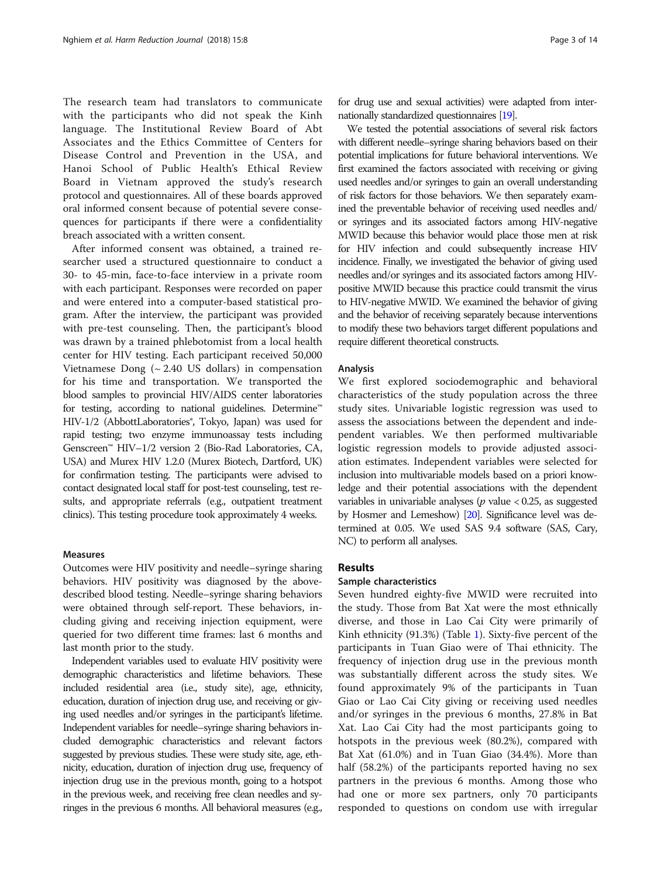The research team had translators to communicate with the participants who did not speak the Kinh language. The Institutional Review Board of Abt Associates and the Ethics Committee of Centers for Disease Control and Prevention in the USA, and Hanoi School of Public Health's Ethical Review Board in Vietnam approved the study's research protocol and questionnaires. All of these boards approved oral informed consent because of potential severe consequences for participants if there were a confidentiality breach associated with a written consent.

After informed consent was obtained, a trained researcher used a structured questionnaire to conduct a 30- to 45-min, face-to-face interview in a private room with each participant. Responses were recorded on paper and were entered into a computer-based statistical program. After the interview, the participant was provided with pre-test counseling. Then, the participant's blood was drawn by a trained phlebotomist from a local health center for HIV testing. Each participant received 50,000 Vietnamese Dong (~ 2.40 US dollars) in compensation for his time and transportation. We transported the blood samples to provincial HIV/AIDS center laboratories for testing, according to national guidelines. Determine™ HIV-1/2 (AbbottLaboratories<sup>®</sup>, Tokyo, Japan) was used for rapid testing; two enzyme immunoassay tests including Genscreen™ HIV–1/2 version 2 (Bio-Rad Laboratories, CA, USA) and Murex HIV 1.2.0 (Murex Biotech, Dartford, UK) for confirmation testing. The participants were advised to contact designated local staff for post-test counseling, test results, and appropriate referrals (e.g., outpatient treatment clinics). This testing procedure took approximately 4 weeks.

#### Measures

Outcomes were HIV positivity and needle–syringe sharing behaviors. HIV positivity was diagnosed by the abovedescribed blood testing. Needle–syringe sharing behaviors were obtained through self-report. These behaviors, including giving and receiving injection equipment, were queried for two different time frames: last 6 months and last month prior to the study.

Independent variables used to evaluate HIV positivity were demographic characteristics and lifetime behaviors. These included residential area (i.e., study site), age, ethnicity, education, duration of injection drug use, and receiving or giving used needles and/or syringes in the participant's lifetime. Independent variables for needle–syringe sharing behaviors included demographic characteristics and relevant factors suggested by previous studies. These were study site, age, ethnicity, education, duration of injection drug use, frequency of injection drug use in the previous month, going to a hotspot in the previous week, and receiving free clean needles and syringes in the previous 6 months. All behavioral measures (e.g., for drug use and sexual activities) were adapted from internationally standardized questionnaires [\[19](#page-13-0)].

We tested the potential associations of several risk factors with different needle–syringe sharing behaviors based on their potential implications for future behavioral interventions. We first examined the factors associated with receiving or giving used needles and/or syringes to gain an overall understanding of risk factors for those behaviors. We then separately examined the preventable behavior of receiving used needles and/ or syringes and its associated factors among HIV-negative MWID because this behavior would place those men at risk for HIV infection and could subsequently increase HIV incidence. Finally, we investigated the behavior of giving used needles and/or syringes and its associated factors among HIVpositive MWID because this practice could transmit the virus to HIV-negative MWID. We examined the behavior of giving and the behavior of receiving separately because interventions to modify these two behaviors target different populations and require different theoretical constructs.

#### Analysis

We first explored sociodemographic and behavioral characteristics of the study population across the three study sites. Univariable logistic regression was used to assess the associations between the dependent and independent variables. We then performed multivariable logistic regression models to provide adjusted association estimates. Independent variables were selected for inclusion into multivariable models based on a priori knowledge and their potential associations with the dependent variables in univariable analyses ( $p$  value < 0.25, as suggested by Hosmer and Lemeshow) [[20\]](#page-13-0). Significance level was determined at 0.05. We used SAS 9.4 software (SAS, Cary, NC) to perform all analyses.

## Results

#### Sample characteristics

Seven hundred eighty-five MWID were recruited into the study. Those from Bat Xat were the most ethnically diverse, and those in Lao Cai City were primarily of Kinh ethnicity (91.3%) (Table [1](#page-3-0)). Sixty-five percent of the participants in Tuan Giao were of Thai ethnicity. The frequency of injection drug use in the previous month was substantially different across the study sites. We found approximately 9% of the participants in Tuan Giao or Lao Cai City giving or receiving used needles and/or syringes in the previous 6 months, 27.8% in Bat Xat. Lao Cai City had the most participants going to hotspots in the previous week (80.2%), compared with Bat Xat (61.0%) and in Tuan Giao (34.4%). More than half (58.2%) of the participants reported having no sex partners in the previous 6 months. Among those who had one or more sex partners, only 70 participants responded to questions on condom use with irregular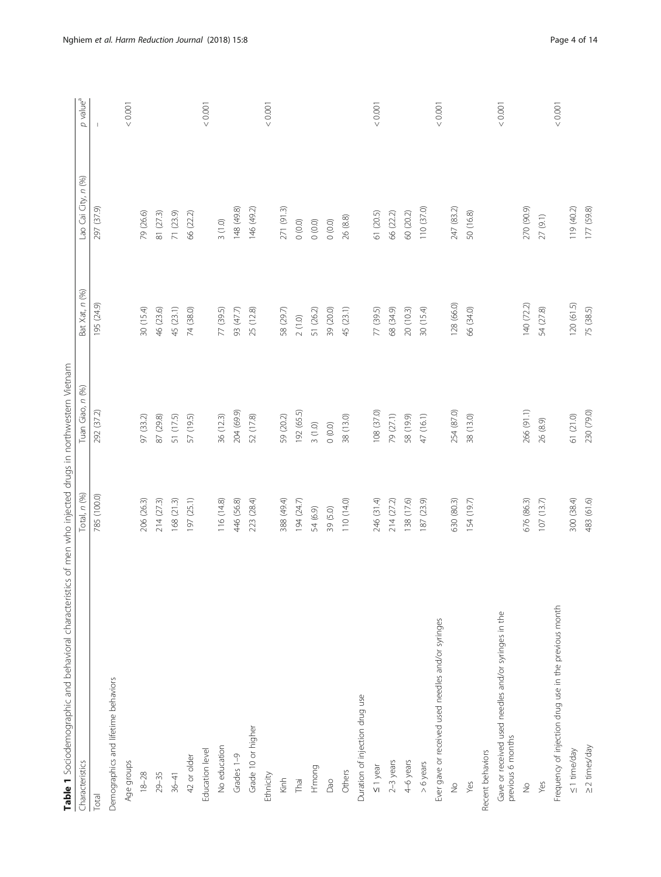| Ï<br>5                                            |  |
|---------------------------------------------------|--|
| ļ<br>j                                            |  |
| j                                                 |  |
| l<br>$\overline{\phantom{a}}$<br>I<br>I<br>ì      |  |
| ١<br>ׇׇ֓֡                                         |  |
| j<br>)<br>)<br>)<br>$\mathbf \zeta$               |  |
| I                                                 |  |
| Ï                                                 |  |
| j<br>֠<br>j<br>ì<br>I<br>5<br>I<br>Ī<br>i         |  |
| ŗ<br>ī<br>i<br>$\frac{1}{2}$<br>j                 |  |
| i<br>ļ<br>$\mathfrak{c}$                          |  |
| Ó<br>I<br>Ċ<br>i,<br>i<br>$\mathcal{L}$<br>ï<br>Í |  |
| Ç                                                 |  |
| rable<br>I                                        |  |

<span id="page-3-0"></span>

| Table 1 Sociodemographic and behavioral characteristics<br>Characteristics | Total, $n$ $(%)$ | of men who injected drugs in northwestern Vietnam<br>Tuan Giao, n (%) | Bat Xat, n (%) | Lao Cai City, n (%) | p value <sup>a</sup> |
|----------------------------------------------------------------------------|------------------|-----------------------------------------------------------------------|----------------|---------------------|----------------------|
| Total                                                                      | 785 (100.0)      | 292 (37.2)                                                            | 195 (24.9)     | 297 (37.9)          | $\mathsf I$          |
| Demographics and lifetime behaviors                                        |                  |                                                                       |                |                     |                      |
| Age groups                                                                 |                  |                                                                       |                |                     | < 0.001              |
| $18 - 28$                                                                  | 206 (26.3)       | 97 (33.2)                                                             | 30 (15.4)      | 79 (26.6)           |                      |
| $29 - 35$                                                                  | 214 (27.3)       | 87 (29.8)                                                             | 46 (23.6)      | 81 (27.3)           |                      |
| $36 - 41$                                                                  | 168 (21.3)       | 51 (17.5)                                                             | 45 (23.1)      | 71 (23.9)           |                      |
| 42 or older                                                                | 197 (25.1)       | 57 (19.5)                                                             | 74 (38.0)      | 66 (22.2)           |                      |
| Education level                                                            |                  |                                                                       |                |                     | < 0.001              |
| No education                                                               | 116 (14.8)       | 36 (12.3)                                                             | 77 (39.5)      | 3(1.0)              |                      |
| Grades $1-9$                                                               | 446 (56.8)       | 204 (69.9)                                                            | 93 (47.7)      | 148 (49.8)          |                      |
| Grade 10 or higher                                                         | 223 (28.4)       | 52 (17.8)                                                             | 25 (12.8)      | 146 (49.2)          |                      |
| Ethnicity                                                                  |                  |                                                                       |                |                     | < 0.001              |
| Kinh                                                                       | 388 (49.4)       | 59 (20.2)                                                             | 58 (29.7)      | 271 (91.3)          |                      |
| Thai                                                                       | 194 (24.7)       | 192 (65.5)                                                            | $2(1.0)$       | (0.0)               |                      |
| H'mong                                                                     | 54 (6.9)         | 3(1.0)                                                                | 51 (26.2)      | (0.0)               |                      |
| Dao                                                                        | 39 (5.0)         | $0.00$                                                                | 39 (20.0)      | (0.0)               |                      |
| Others                                                                     | 110 (14.0)       | 38 (13.0)                                                             | 45 (23.1)      | 26(8.8)             |                      |
| Duration of injection drug use                                             |                  |                                                                       |                |                     |                      |
| $\leq 1$ year                                                              | 246 (31.4)       | 108 (37.0)                                                            | 77 (39.5)      | 61 (20.5)           | < 0.001              |
| $2-3$ years                                                                | 214 (27.2)       | 79 (27.1)                                                             | 68 (34.9)      | 66 (22.2)           |                      |
| 4-6 years                                                                  | 138 (17.6)       | 58 (19.9)                                                             | 20(10.3)       | 60 (20.2)           |                      |
| $> 6$ years                                                                | 187 (23.9)       | 47 (16.1)                                                             | 30 (15.4)      | 110 (37.0)          |                      |
| Ever gave or received used needles and/or syringes                         |                  |                                                                       |                |                     | 0.0001               |
| $\frac{1}{2}$                                                              | 630 (80.3)       | 254 (87.0)                                                            | 128 (66.0)     | 247 (83.2)          |                      |
| Yes                                                                        | 154 (19.7)       | 38 (13.0)                                                             | 66 (34.0)      | 50 (16.8)           |                      |
| Recent behaviors                                                           |                  |                                                                       |                |                     |                      |
| Gave or received used needles and/or syringes in the<br>previous 6 months  |                  |                                                                       |                |                     | < 0.001              |
| $\frac{1}{2}$                                                              | 676 (86.3)       | 266 (91.1)                                                            | 140 (72.2)     | 270 (90.9)          |                      |
| Yes                                                                        | 107(13.7)        | 26(8.9)                                                               | 54 (27.8)      | 27(9.1)             |                      |
| Frequency of injection drug use in the previous month                      |                  |                                                                       |                |                     | < 0.001              |
| $\leq$ 1 time/day                                                          | 300 (38.4)       | 61 (21.0)                                                             | 120 (61.5)     | 119 (40.2)          |                      |
| ≥2 times/day                                                               | 483 (61.6)       | 230 (79.0)                                                            | 75 (38.5)      | 177 (59.8)          |                      |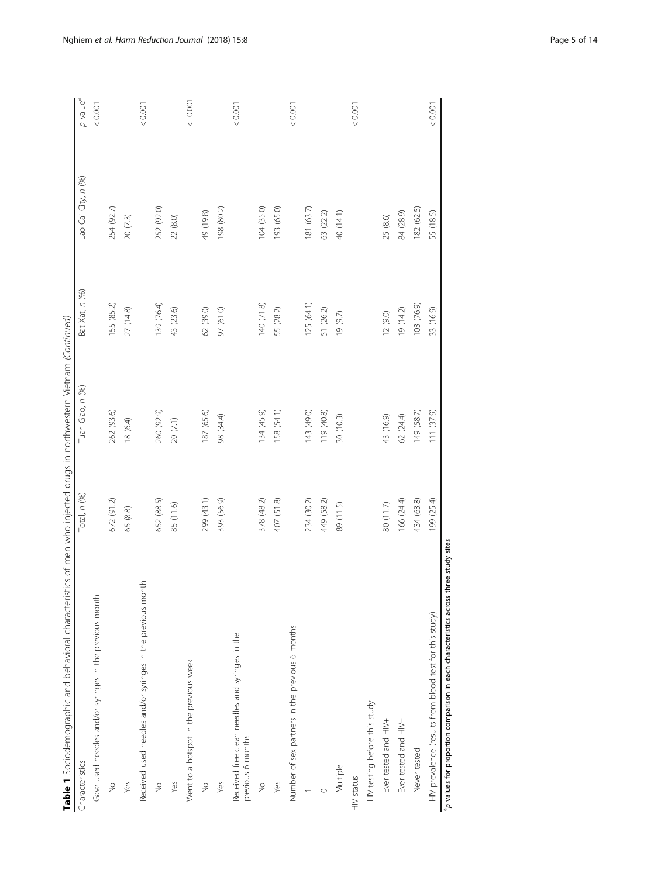| Table 1 Sociodemographic and behavioral characteristics of men who injected drugs in northwestern Vietnam (Continued) |              |                  |                |                     |                      |
|-----------------------------------------------------------------------------------------------------------------------|--------------|------------------|----------------|---------------------|----------------------|
| Characteristics                                                                                                       | Total, n (%) | Tuan Giao, n (%) | Bat Xat, n (%) | Lao Cai City, n (%) | p value <sup>a</sup> |
| Gave used needles and/or syringes in the previous month                                                               |              |                  |                |                     | 10000                |
| $\frac{6}{2}$                                                                                                         | 672 (91.2)   | 262 (93.6)       | 155 (85.2)     | 254 (92.7)          |                      |
| Yes                                                                                                                   | 65 (8.8)     | 18 (6.4)         | 27 (14.8)      | 20(7.3)             |                      |
| Received used needles and/or syringes in the previous month                                                           |              |                  |                |                     | < 0.001              |
| $\frac{1}{2}$                                                                                                         | 652 (88.5)   | 260 (92.9)       | 139 (76.4)     | 252 (92.0)          |                      |
| Yes                                                                                                                   | 85 (11.6)    | 20(7.1)          | 43 (23.6)      | 22(8.0)             |                      |
| Went to a hotspot in the previous week                                                                                |              |                  |                |                     | 0.001                |
| $\frac{1}{2}$                                                                                                         | 299 (43.1)   | 187 (65.6)       | 62 (39.0)      | 49 (19.8)           |                      |
| Yes                                                                                                                   | 393 (56.9)   | 98 (34.4)        | 97 (61.0)      | 198 (80.2)          |                      |
| Received free clean needles and syringes in the<br>previous 6 months                                                  |              |                  |                |                     | 0.001                |
| $\frac{6}{2}$                                                                                                         | 378 (48.2)   | 134 (45.9)       | 140 (71.8)     | 104 (35.0)          |                      |
| Yes                                                                                                                   | 407 (51.8)   | 158 (54.1)       | 55 (28.2)      | 193 (65.0)          |                      |
| Number of sex partners in the previous 6 months                                                                       |              |                  |                |                     | < 0.001              |
|                                                                                                                       | 234 (30.2)   | 143 (49.0)       | 125 (64.1)     | 181 (63.7)          |                      |
| $\circ$                                                                                                               | 449 (58.2)   | 119 (40.8)       | 51 (26.2)      | 63 (22.2)           |                      |
| Multiple                                                                                                              | 89 (11.5)    | 30 (10.3)        | (6.9)          | 40 (14.1)           |                      |
| HIV status                                                                                                            |              |                  |                |                     | < 0.001              |
| HIV testing before this study                                                                                         |              |                  |                |                     |                      |
| Ever tested and HIV+                                                                                                  | 80(11.7)     | 43 (16.9)        | 12(9.0)        | 25 (8.6)            |                      |
| Ever tested and HIV-                                                                                                  | 166 (24.4)   | 62 (24.4)        | 19 (14.2)      | 84 (28.9)           |                      |
| Never tested                                                                                                          | 434 (63.8)   | 149 (58.7)       | 103 (76.9)     | 182 (62.5)          |                      |
| HIV prevalence (results from blood test for this study)                                                               | 199 (25.4)   | 111 (37.9)       | 33 (16.9)      | 55 (18.5)           | < 0.001              |
| ap values for proportion comparison in each characteristics across three study sites                                  |              |                  |                |                     |                      |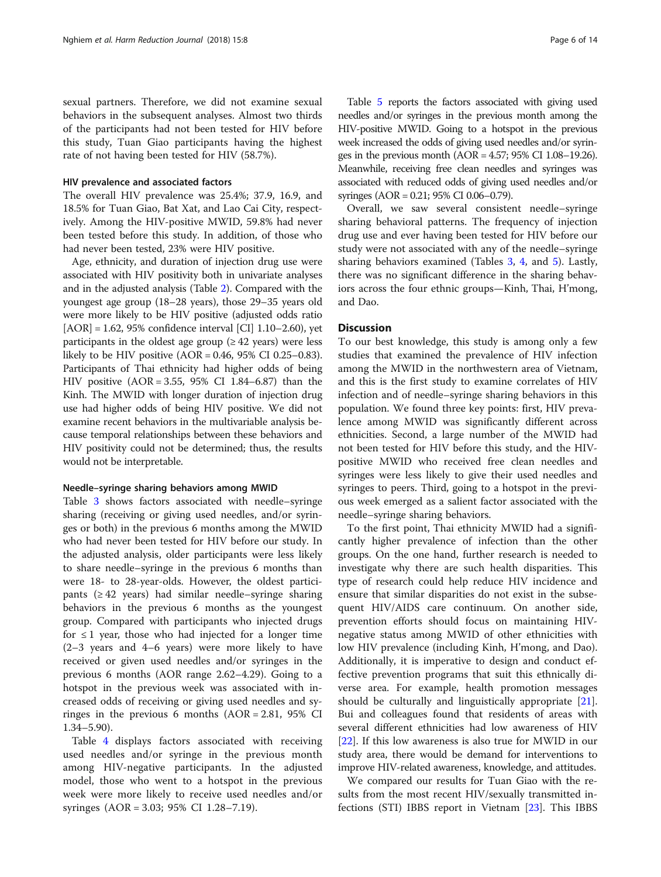sexual partners. Therefore, we did not examine sexual behaviors in the subsequent analyses. Almost two thirds of the participants had not been tested for HIV before this study, Tuan Giao participants having the highest rate of not having been tested for HIV (58.7%).

#### HIV prevalence and associated factors

The overall HIV prevalence was 25.4%; 37.9, 16.9, and 18.5% for Tuan Giao, Bat Xat, and Lao Cai City, respectively. Among the HIV-positive MWID, 59.8% had never been tested before this study. In addition, of those who had never been tested, 23% were HIV positive.

Age, ethnicity, and duration of injection drug use were associated with HIV positivity both in univariate analyses and in the adjusted analysis (Table [2\)](#page-6-0). Compared with the youngest age group (18–28 years), those 29–35 years old were more likely to be HIV positive (adjusted odds ratio  $[AOR] = 1.62, 95\%$  confidence interval  $[CI]$  1.10–2.60), yet participants in the oldest age group ( $\geq$  42 years) were less likely to be HIV positive  $(AOR = 0.46, 95\% \text{ CI } 0.25-0.83)$ . Participants of Thai ethnicity had higher odds of being HIV positive (AOR = 3.55, 95% CI 1.84–6.87) than the Kinh. The MWID with longer duration of injection drug use had higher odds of being HIV positive. We did not examine recent behaviors in the multivariable analysis because temporal relationships between these behaviors and HIV positivity could not be determined; thus, the results would not be interpretable.

#### Needle–syringe sharing behaviors among MWID

Table [3](#page-8-0) shows factors associated with needle–syringe sharing (receiving or giving used needles, and/or syringes or both) in the previous 6 months among the MWID who had never been tested for HIV before our study. In the adjusted analysis, older participants were less likely to share needle–syringe in the previous 6 months than were 18- to 28-year-olds. However, the oldest participants  $(≥ 42 \text{ years})$  had similar needle–syringe sharing behaviors in the previous 6 months as the youngest group. Compared with participants who injected drugs for  $\leq 1$  year, those who had injected for a longer time (2–3 years and 4–6 years) were more likely to have received or given used needles and/or syringes in the previous 6 months (AOR range 2.62–4.29). Going to a hotspot in the previous week was associated with increased odds of receiving or giving used needles and syringes in the previous 6 months  $(AOR = 2.81, 95\% \text{ CI})$ 1.34–5.90).

Table [4](#page-9-0) displays factors associated with receiving used needles and/or syringe in the previous month among HIV-negative participants. In the adjusted model, those who went to a hotspot in the previous week were more likely to receive used needles and/or syringes (AOR = 3.03; 95% CI 1.28–7.19).

Table [5](#page-10-0) reports the factors associated with giving used needles and/or syringes in the previous month among the HIV-positive MWID. Going to a hotspot in the previous week increased the odds of giving used needles and/or syringes in the previous month (AOR = 4.57; 95% CI 1.08–19.26). Meanwhile, receiving free clean needles and syringes was associated with reduced odds of giving used needles and/or syringes (AOR = 0.21; 95% CI 0.06–0.79).

Overall, we saw several consistent needle–syringe sharing behavioral patterns. The frequency of injection drug use and ever having been tested for HIV before our study were not associated with any of the needle–syringe sharing behaviors examined (Tables [3](#page-8-0), [4](#page-9-0), and [5](#page-10-0)). Lastly, there was no significant difference in the sharing behaviors across the four ethnic groups—Kinh, Thai, H'mong, and Dao.

### **Discussion**

To our best knowledge, this study is among only a few studies that examined the prevalence of HIV infection among the MWID in the northwestern area of Vietnam, and this is the first study to examine correlates of HIV infection and of needle–syringe sharing behaviors in this population. We found three key points: first, HIV prevalence among MWID was significantly different across ethnicities. Second, a large number of the MWID had not been tested for HIV before this study, and the HIVpositive MWID who received free clean needles and syringes were less likely to give their used needles and syringes to peers. Third, going to a hotspot in the previous week emerged as a salient factor associated with the needle–syringe sharing behaviors.

To the first point, Thai ethnicity MWID had a significantly higher prevalence of infection than the other groups. On the one hand, further research is needed to investigate why there are such health disparities. This type of research could help reduce HIV incidence and ensure that similar disparities do not exist in the subsequent HIV/AIDS care continuum. On another side, prevention efforts should focus on maintaining HIVnegative status among MWID of other ethnicities with low HIV prevalence (including Kinh, H'mong, and Dao). Additionally, it is imperative to design and conduct effective prevention programs that suit this ethnically diverse area. For example, health promotion messages should be culturally and linguistically appropriate [\[21](#page-13-0)]. Bui and colleagues found that residents of areas with several different ethnicities had low awareness of HIV [[22\]](#page-13-0). If this low awareness is also true for MWID in our study area, there would be demand for interventions to improve HIV-related awareness, knowledge, and attitudes.

We compared our results for Tuan Giao with the results from the most recent HIV/sexually transmitted infections (STI) IBBS report in Vietnam [\[23](#page-13-0)]. This IBBS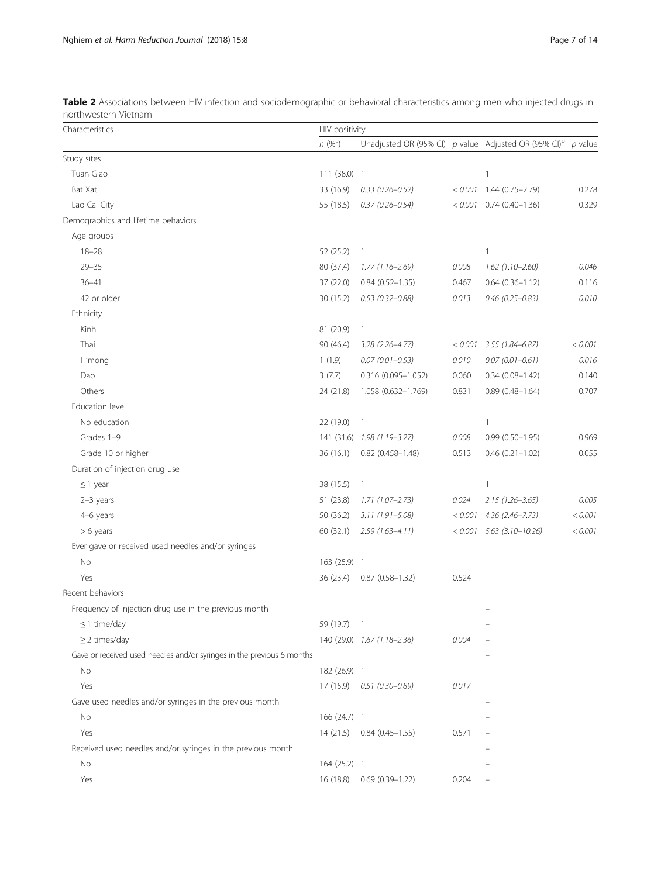<span id="page-6-0"></span>

| Table 2 Associations between HIV infection and sociodemographic or behavioral characteristics among men who injected drugs in |  |  |  |
|-------------------------------------------------------------------------------------------------------------------------------|--|--|--|
| northwestern Vietnam                                                                                                          |  |  |  |

| Characteristics                                                        | HIV positivity |                                                                            |         |                             |           |
|------------------------------------------------------------------------|----------------|----------------------------------------------------------------------------|---------|-----------------------------|-----------|
|                                                                        | $n (%^a)$      | Unadjusted OR (95% CI) $p$ value Adjusted OR (95% CI) $^{\rm b}$ $p$ value |         |                             |           |
| Study sites                                                            |                |                                                                            |         |                             |           |
| Tuan Giao                                                              | 111 (38.0) 1   |                                                                            |         | 1                           |           |
| Bat Xat                                                                | 33 (16.9)      | $0.33$ $(0.26 - 0.52)$                                                     |         | $< 0.001$ 1.44 (0.75-2.79)  | 0.278     |
| Lao Cai City                                                           | 55 (18.5)      | $0.37(0.26 - 0.54)$                                                        |         | $< 0.001$ 0.74 (0.40-1.36)  | 0.329     |
| Demographics and lifetime behaviors                                    |                |                                                                            |         |                             |           |
| Age groups                                                             |                |                                                                            |         |                             |           |
| $18 - 28$                                                              | 52 (25.2)      | -1                                                                         |         | $\mathbf{1}$                |           |
| $29 - 35$                                                              | 80 (37.4)      | $1.77(1.16 - 2.69)$                                                        | 0.008   | $1.62$ (1.10-2.60)          | 0.046     |
| $36 - 41$                                                              | 37 (22.0)      | $0.84(0.52 - 1.35)$                                                        | 0.467   | $0.64(0.36 - 1.12)$         | 0.116     |
| 42 or older                                                            | 30 (15.2)      | $0.53$ (0.32-0.88)                                                         | 0.013   | $0.46$ (0.25-0.83)          | 0.010     |
| Ethnicity                                                              |                |                                                                            |         |                             |           |
| Kinh                                                                   | 81 (20.9)      | $\mathbf{1}$                                                               |         |                             |           |
| Thai                                                                   | 90 (46.4)      | 3.28 (2.26-4.77)                                                           | < 0.001 | 3.55 (1.84-6.87)            | < 0.001   |
| H'mong                                                                 | 1(1.9)         | $0.07(0.01 - 0.53)$                                                        | 0.010   | $0.07(0.01 - 0.61)$         | 0.016     |
| Dao                                                                    | 3(7.7)         | 0.316 (0.095-1.052)                                                        | 0.060   | $0.34(0.08 - 1.42)$         | 0.140     |
| Others                                                                 | 24 (21.8)      | 1.058 (0.632-1.769)                                                        | 0.831   | $0.89(0.48 - 1.64)$         | 0.707     |
| Education level                                                        |                |                                                                            |         |                             |           |
| No education                                                           | 22 (19.0)      | $\overline{1}$                                                             |         | $\mathbf{1}$                |           |
| Grades 1-9                                                             |                | 141 (31.6) 1.98 (1.19-3.27)                                                | 0.008   | $0.99(0.50 - 1.95)$         | 0.969     |
| Grade 10 or higher                                                     | 36(16.1)       | $0.82(0.458 - 1.48)$                                                       | 0.513   | $0.46(0.21 - 1.02)$         | 0.055     |
| Duration of injection drug use                                         |                |                                                                            |         |                             |           |
| $\leq$ 1 year                                                          | 38 (15.5)      | -1                                                                         |         | 1                           |           |
| $2-3$ years                                                            | 51 (23.8)      | $1.71(1.07 - 2.73)$                                                        | 0.024   | $2.15(1.26 - 3.65)$         | 0.005     |
| 4-6 years                                                              | 50(36.2)       | $3.11(1.91 - 5.08)$                                                        | < 0.001 | $4.36(2.46 - 7.73)$         | < 0.001   |
| $> 6$ years                                                            | 60 (32.1)      | $2.59(1.63 - 4.11)$                                                        |         | $< 0.001$ 5.63 (3.10-10.26) | $< 0.001$ |
| Ever gave or received used needles and/or syringes                     |                |                                                                            |         |                             |           |
| No                                                                     | 163 (25.9) 1   |                                                                            |         |                             |           |
| Yes                                                                    | 36 (23.4)      | $0.87$ $(0.58 - 1.32)$                                                     | 0.524   |                             |           |
| Recent behaviors                                                       |                |                                                                            |         |                             |           |
| Frequency of injection drug use in the previous month                  |                |                                                                            |         |                             |           |
| $\leq$ 1 time/day                                                      | 59 (19.7)      | $\overline{1}$                                                             |         |                             |           |
| $\geq$ 2 times/day                                                     |                | 140 (29.0) 1.67 (1.18-2.36)                                                | 0.004   |                             |           |
| Gave or received used needles and/or syringes in the previous 6 months |                |                                                                            |         |                             |           |
| No                                                                     | 182 (26.9) 1   |                                                                            |         |                             |           |
| Yes                                                                    |                | 17 (15.9)  0.51 (0.30-0.89)                                                | 0.017   |                             |           |
| Gave used needles and/or syringes in the previous month                |                |                                                                            |         |                             |           |
| No                                                                     | 166 (24.7) 1   |                                                                            |         |                             |           |
| Yes                                                                    |                | 14 (21.5) 0.84 (0.45-1.55)                                                 | 0.571   |                             |           |
| Received used needles and/or syringes in the previous month            |                |                                                                            |         |                             |           |
| No                                                                     | 164 (25.2) 1   |                                                                            |         |                             |           |
| Yes                                                                    |                | 16 (18.8) 0.69 (0.39-1.22)                                                 | 0.204   |                             |           |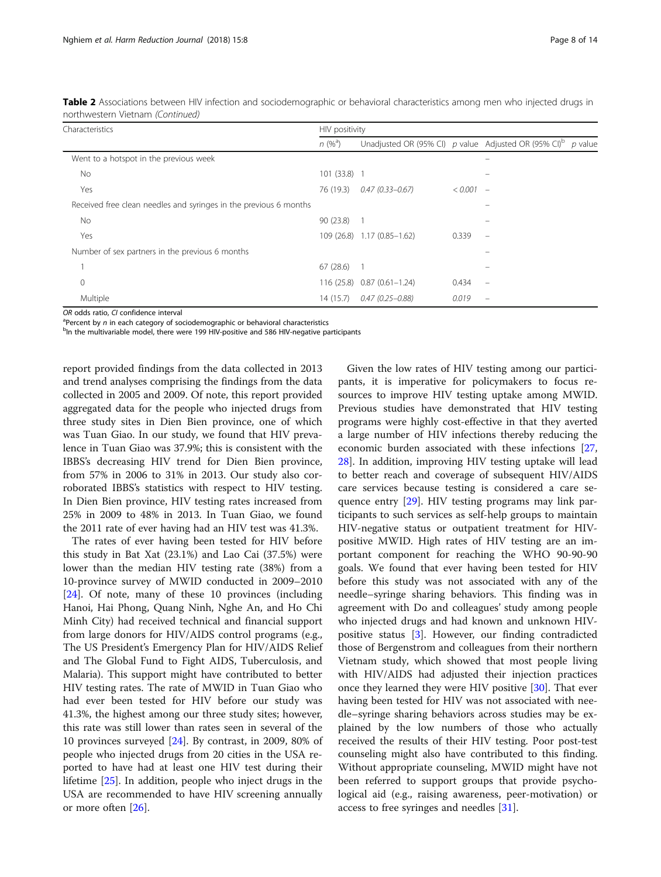| Characteristics                                                   | HIV positivity |                                                                        |         |                          |  |  |  |  |
|-------------------------------------------------------------------|----------------|------------------------------------------------------------------------|---------|--------------------------|--|--|--|--|
|                                                                   | $n (%^a)$      | Unadjusted OR (95% CI) p value Adjusted OR (95% CI) $^{\circ}$ p value |         |                          |  |  |  |  |
| Went to a hotspot in the previous week                            |                |                                                                        |         |                          |  |  |  |  |
| No                                                                | 101 (33.8) 1   |                                                                        |         |                          |  |  |  |  |
| Yes                                                               | 76 (19.3)      | $0.47(0.33 - 0.67)$                                                    | < 0.001 | $\sim$                   |  |  |  |  |
| Received free clean needles and syringes in the previous 6 months |                |                                                                        |         |                          |  |  |  |  |
| <b>No</b>                                                         | 90 (23.8)      |                                                                        |         |                          |  |  |  |  |
| Yes                                                               |                | 109 (26.8) 1.17 (0.85-1.62)                                            | 0.339   | $\overline{\phantom{0}}$ |  |  |  |  |
| Number of sex partners in the previous 6 months                   |                |                                                                        |         |                          |  |  |  |  |
|                                                                   | 67(28.6)       |                                                                        |         |                          |  |  |  |  |
| $\mathbf{0}$                                                      |                | 116 (25.8) 0.87 (0.61-1.24)                                            | 0.434   |                          |  |  |  |  |
| Multiple                                                          | 14(15.7)       | $0.47(0.25 - 0.88)$                                                    | 0.019   |                          |  |  |  |  |

Table 2 Associations between HIV infection and sociodemographic or behavioral characteristics among men who injected drugs in northwestern Vietnam (Continued)

OR odds ratio, CI confidence interval

 $P^a$ Percent by *n* in each category of sociodemographic or behavioral characteristics

<sup>b</sup>In the multivariable model, there were 199 HIV-positive and 586 HIV-negative participants

report provided findings from the data collected in 2013 and trend analyses comprising the findings from the data collected in 2005 and 2009. Of note, this report provided aggregated data for the people who injected drugs from three study sites in Dien Bien province, one of which was Tuan Giao. In our study, we found that HIV prevalence in Tuan Giao was 37.9%; this is consistent with the IBBS's decreasing HIV trend for Dien Bien province, from 57% in 2006 to 31% in 2013. Our study also corroborated IBBS's statistics with respect to HIV testing. In Dien Bien province, HIV testing rates increased from 25% in 2009 to 48% in 2013. In Tuan Giao, we found the 2011 rate of ever having had an HIV test was 41.3%.

The rates of ever having been tested for HIV before this study in Bat Xat (23.1%) and Lao Cai (37.5%) were lower than the median HIV testing rate (38%) from a 10-province survey of MWID conducted in 2009–2010 [[24\]](#page-13-0). Of note, many of these 10 provinces (including Hanoi, Hai Phong, Quang Ninh, Nghe An, and Ho Chi Minh City) had received technical and financial support from large donors for HIV/AIDS control programs (e.g., The US President's Emergency Plan for HIV/AIDS Relief and The Global Fund to Fight AIDS, Tuberculosis, and Malaria). This support might have contributed to better HIV testing rates. The rate of MWID in Tuan Giao who had ever been tested for HIV before our study was 41.3%, the highest among our three study sites; however, this rate was still lower than rates seen in several of the 10 provinces surveyed [[24\]](#page-13-0). By contrast, in 2009, 80% of people who injected drugs from 20 cities in the USA reported to have had at least one HIV test during their lifetime [[25\]](#page-13-0). In addition, people who inject drugs in the USA are recommended to have HIV screening annually or more often [[26\]](#page-13-0).

Given the low rates of HIV testing among our participants, it is imperative for policymakers to focus resources to improve HIV testing uptake among MWID. Previous studies have demonstrated that HIV testing programs were highly cost-effective in that they averted a large number of HIV infections thereby reducing the economic burden associated with these infections [[27](#page-13-0), [28\]](#page-13-0). In addition, improving HIV testing uptake will lead to better reach and coverage of subsequent HIV/AIDS care services because testing is considered a care sequence entry [\[29](#page-13-0)]. HIV testing programs may link participants to such services as self-help groups to maintain HIV-negative status or outpatient treatment for HIVpositive MWID. High rates of HIV testing are an important component for reaching the WHO 90-90-90 goals. We found that ever having been tested for HIV before this study was not associated with any of the needle–syringe sharing behaviors. This finding was in agreement with Do and colleagues' study among people who injected drugs and had known and unknown HIVpositive status [[3\]](#page-12-0). However, our finding contradicted those of Bergenstrom and colleagues from their northern Vietnam study, which showed that most people living with HIV/AIDS had adjusted their injection practices once they learned they were HIV positive [\[30\]](#page-13-0). That ever having been tested for HIV was not associated with needle–syringe sharing behaviors across studies may be explained by the low numbers of those who actually received the results of their HIV testing. Poor post-test counseling might also have contributed to this finding. Without appropriate counseling, MWID might have not been referred to support groups that provide psychological aid (e.g., raising awareness, peer-motivation) or access to free syringes and needles [\[31](#page-13-0)].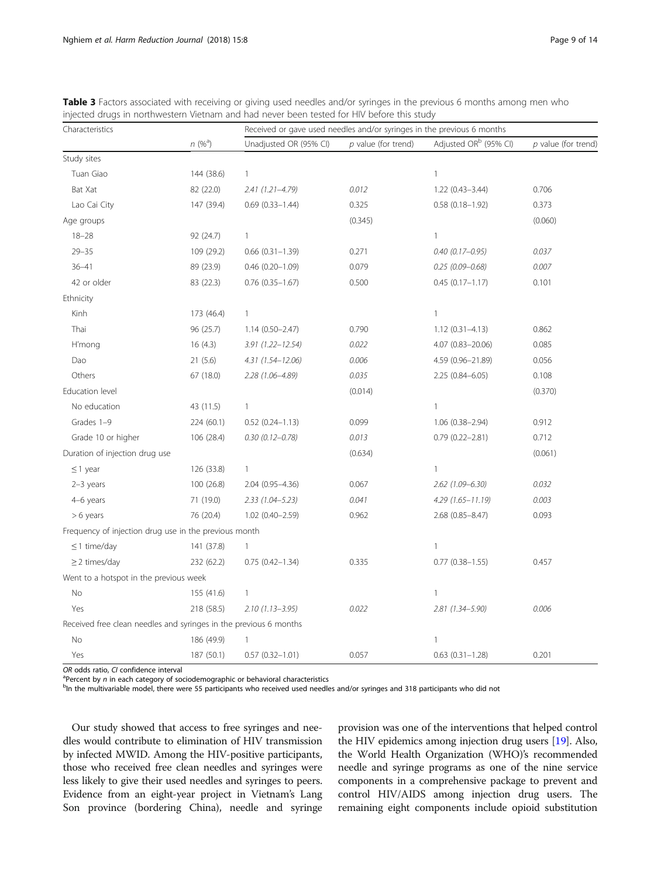| Characteristics                                                   |            | Received or gave used needles and/or syringes in the previous 6 months |                       |                                   |                       |  |  |
|-------------------------------------------------------------------|------------|------------------------------------------------------------------------|-----------------------|-----------------------------------|-----------------------|--|--|
|                                                                   | $n (%^a)$  | Unadjusted OR (95% CI)                                                 | $p$ value (for trend) | Adjusted OR <sup>b</sup> (95% CI) | $p$ value (for trend) |  |  |
| Study sites                                                       |            |                                                                        |                       |                                   |                       |  |  |
| Tuan Giao                                                         | 144 (38.6) | $\mathbf{1}$                                                           |                       | $\mathbf{1}$                      |                       |  |  |
| Bat Xat                                                           | 82 (22.0)  | 2.41 (1.21-4.79)                                                       | 0.012                 | $1.22(0.43 - 3.44)$               | 0.706                 |  |  |
| Lao Cai City                                                      | 147 (39.4) | $0.69$ $(0.33 - 1.44)$                                                 | 0.325                 | $0.58(0.18 - 1.92)$               | 0.373                 |  |  |
| Age groups                                                        |            |                                                                        | (0.345)               |                                   | (0.060)               |  |  |
| $18 - 28$                                                         | 92 (24.7)  | $\mathbf{1}$                                                           |                       | $\mathbf{1}$                      |                       |  |  |
| $29 - 35$                                                         | 109 (29.2) | $0.66$ $(0.31 - 1.39)$                                                 | 0.271                 | $0.40(0.17 - 0.95)$               | 0.037                 |  |  |
| $36 - 41$                                                         | 89 (23.9)  | $0.46$ $(0.20 - 1.09)$                                                 | 0.079                 | $0.25(0.09 - 0.68)$               | 0.007                 |  |  |
| 42 or older                                                       | 83 (22.3)  | $0.76$ $(0.35 - 1.67)$                                                 | 0.500                 | $0.45(0.17 - 1.17)$               | 0.101                 |  |  |
| Ethnicity                                                         |            |                                                                        |                       |                                   |                       |  |  |
| Kinh                                                              | 173 (46.4) | $\mathbf{1}$                                                           |                       | $\mathbf{1}$                      |                       |  |  |
| Thai                                                              | 96 (25.7)  | $1.14(0.50 - 2.47)$                                                    | 0.790                 | $1.12(0.31 - 4.13)$               | 0.862                 |  |  |
| H'mong                                                            | 16(4.3)    | 3.91 (1.22-12.54)                                                      | 0.022                 | 4.07 (0.83-20.06)                 | 0.085                 |  |  |
| Dao                                                               | 21(5.6)    | 4.31 (1.54-12.06)                                                      | 0.006                 | 4.59 (0.96-21.89)                 | 0.056                 |  |  |
| Others                                                            | 67 (18.0)  | 2.28 (1.06-4.89)                                                       | 0.035                 | 2.25 (0.84-6.05)                  | 0.108                 |  |  |
| Education level                                                   |            |                                                                        | (0.014)               |                                   | (0.370)               |  |  |
| No education                                                      | 43 (11.5)  | $\mathbf{1}$                                                           |                       | $\mathbf{1}$                      |                       |  |  |
| Grades 1-9                                                        | 224 (60.1) | $0.52$ $(0.24 - 1.13)$                                                 | 0.099                 | 1.06 (0.38-2.94)                  | 0.912                 |  |  |
| Grade 10 or higher                                                | 106 (28.4) | $0.30(0.12 - 0.78)$                                                    | 0.013                 | $0.79(0.22 - 2.81)$               | 0.712                 |  |  |
| Duration of injection drug use                                    |            |                                                                        | (0.634)               |                                   | (0.061)               |  |  |
| $\leq$ 1 year                                                     | 126 (33.8) | $\mathbf{1}$                                                           |                       | $\mathbf{1}$                      |                       |  |  |
| $2-3$ years                                                       | 100 (26.8) | 2.04 (0.95-4.36)                                                       | 0.067                 | $2.62$ (1.09-6.30)                | 0.032                 |  |  |
| 4-6 years                                                         | 71 (19.0)  | $2.33(1.04 - 5.23)$                                                    | 0.041                 | 4.29 (1.65-11.19)                 | 0.003                 |  |  |
| > 6 years                                                         | 76 (20.4)  | $1.02(0.40 - 2.59)$                                                    | 0.962                 | 2.68 (0.85-8.47)                  | 0.093                 |  |  |
| Frequency of injection drug use in the previous month             |            |                                                                        |                       |                                   |                       |  |  |
| $\leq$ 1 time/day                                                 | 141 (37.8) | $\mathbf{1}$                                                           |                       | $\mathbf{1}$                      |                       |  |  |
| $\geq$ 2 times/day                                                | 232 (62.2) | $0.75(0.42 - 1.34)$                                                    | 0.335                 | $0.77$ $(0.38 - 1.55)$            | 0.457                 |  |  |
| Went to a hotspot in the previous week                            |            |                                                                        |                       |                                   |                       |  |  |
| No                                                                | 155 (41.6) | $\mathbf{1}$                                                           |                       | $\mathbf{1}$                      |                       |  |  |
| Yes                                                               | 218 (58.5) | $2.10(1.13 - 3.95)$                                                    | 0.022                 | 2.81 (1.34-5.90)                  | 0.006                 |  |  |
| Received free clean needles and syringes in the previous 6 months |            |                                                                        |                       |                                   |                       |  |  |
| No                                                                | 186 (49.9) | $\mathbf{1}$                                                           |                       | $\mathbf{1}$                      |                       |  |  |
| Yes                                                               | 187 (50.1) | $0.57(0.32 - 1.01)$                                                    | 0.057                 | $0.63$ $(0.31 - 1.28)$            | 0.201                 |  |  |

<span id="page-8-0"></span>Table 3 Factors associated with receiving or giving used needles and/or syringes in the previous 6 months among men who injected drugs in northwestern Vietnam and had never been tested for HIV before this study

OR odds ratio, CI confidence interval

 $P$  Percent by n in each category of sociodemographic or behavioral characteristics

<sup>b</sup>In the multivariable model, there were 55 participants who received used needles and/or syringes and 318 participants who did not

Our study showed that access to free syringes and needles would contribute to elimination of HIV transmission by infected MWID. Among the HIV-positive participants, those who received free clean needles and syringes were less likely to give their used needles and syringes to peers. Evidence from an eight-year project in Vietnam's Lang Son province (bordering China), needle and syringe

provision was one of the interventions that helped control the HIV epidemics among injection drug users [\[19](#page-13-0)]. Also, the World Health Organization (WHO)'s recommended needle and syringe programs as one of the nine service components in a comprehensive package to prevent and control HIV/AIDS among injection drug users. The remaining eight components include opioid substitution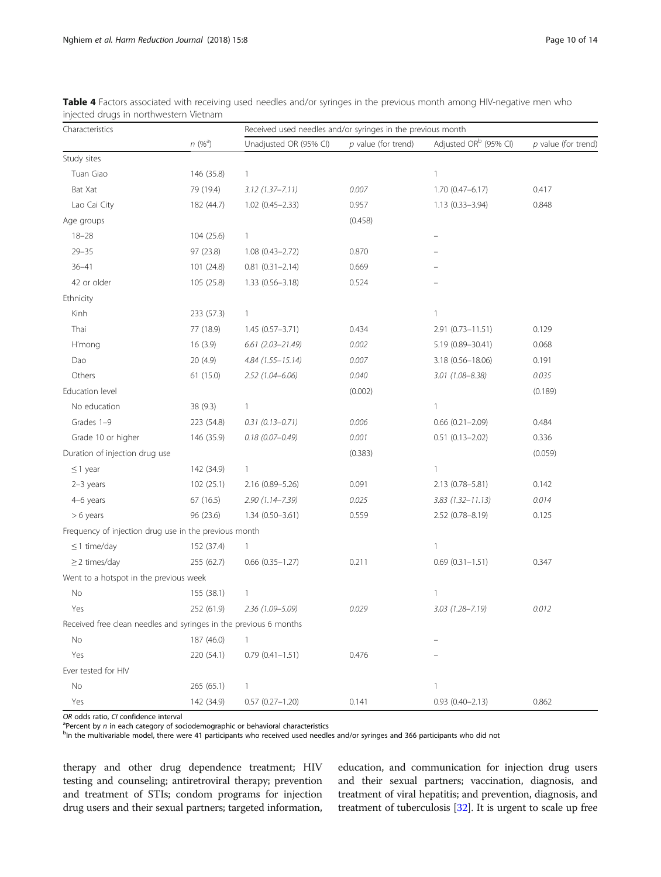| Characteristics                                                   |            | Received used needles and/or syringes in the previous month |                       |                                   |                       |
|-------------------------------------------------------------------|------------|-------------------------------------------------------------|-----------------------|-----------------------------------|-----------------------|
|                                                                   | $n (%^a)$  | Unadjusted OR (95% CI)                                      | $p$ value (for trend) | Adjusted OR <sup>b</sup> (95% CI) | $p$ value (for trend) |
| Study sites                                                       |            |                                                             |                       |                                   |                       |
| Tuan Giao                                                         | 146 (35.8) | 1                                                           |                       | 1                                 |                       |
| Bat Xat                                                           | 79 (19.4)  | $3.12(1.37 - 7.11)$                                         | 0.007                 | $1.70(0.47 - 6.17)$               | 0.417                 |
| Lao Cai City                                                      | 182 (44.7) | $1.02$ (0.45-2.33)                                          | 0.957                 | $1.13(0.33 - 3.94)$               | 0.848                 |
| Age groups                                                        |            |                                                             | (0.458)               |                                   |                       |
| $18 - 28$                                                         | 104 (25.6) | 1                                                           |                       |                                   |                       |
| $29 - 35$                                                         | 97 (23.8)  | $1.08(0.43 - 2.72)$                                         | 0.870                 |                                   |                       |
| $36 - 41$                                                         | 101 (24.8) | $0.81(0.31 - 2.14)$                                         | 0.669                 |                                   |                       |
| 42 or older                                                       | 105 (25.8) | 1.33 (0.56-3.18)                                            | 0.524                 |                                   |                       |
| Ethnicity                                                         |            |                                                             |                       |                                   |                       |
| Kinh                                                              | 233 (57.3) | 1                                                           |                       | $\mathbf{1}$                      |                       |
| Thai                                                              | 77 (18.9)  | $1.45(0.57 - 3.71)$                                         | 0.434                 | 2.91 (0.73-11.51)                 | 0.129                 |
| H'mong                                                            | 16(3.9)    | $6.61(2.03 - 21.49)$                                        | 0.002                 | 5.19 (0.89-30.41)                 | 0.068                 |
| Dao                                                               | 20 (4.9)   | 4.84 (1.55-15.14)                                           | 0.007                 | 3.18 (0.56-18.06)                 | 0.191                 |
| Others                                                            | 61 (15.0)  | 2.52 (1.04-6.06)                                            | 0.040                 | 3.01 (1.08-8.38)                  | 0.035                 |
| Education level                                                   |            |                                                             | (0.002)               |                                   | (0.189)               |
| No education                                                      | 38 (9.3)   | 1                                                           |                       | $\mathbf{1}$                      |                       |
| Grades 1-9                                                        | 223 (54.8) | $0.31(0.13 - 0.71)$                                         | 0.006                 | $0.66$ $(0.21 - 2.09)$            | 0.484                 |
| Grade 10 or higher                                                | 146 (35.9) | $0.18(0.07 - 0.49)$                                         | 0.001                 | $0.51(0.13 - 2.02)$               | 0.336                 |
| Duration of injection drug use                                    |            |                                                             | (0.383)               |                                   | (0.059)               |
| $\leq$ 1 year                                                     | 142 (34.9) | 1                                                           |                       | 1                                 |                       |
| $2-3$ years                                                       | 102(25.1)  | 2.16 (0.89-5.26)                                            | 0.091                 | 2.13 (0.78-5.81)                  | 0.142                 |
| 4-6 years                                                         | 67(16.5)   | 2.90 (1.14-7.39)                                            | 0.025                 | $3.83(1.32 - 11.13)$              | 0.014                 |
| $> 6$ years                                                       | 96 (23.6)  | 1.34 (0.50-3.61)                                            | 0.559                 | 2.52 (0.78-8.19)                  | 0.125                 |
| Frequency of injection drug use in the previous month             |            |                                                             |                       |                                   |                       |
| $\leq$ 1 time/day                                                 | 152 (37.4) | 1                                                           |                       | $\mathbf{1}$                      |                       |
| $\geq$ 2 times/day                                                | 255 (62.7) | $0.66$ $(0.35 - 1.27)$                                      | 0.211                 | $0.69(0.31 - 1.51)$               | 0.347                 |
| Went to a hotspot in the previous week                            |            |                                                             |                       |                                   |                       |
| No                                                                | 155 (38.1) | 1                                                           |                       | $\mathbf{1}$                      |                       |
| Yes                                                               | 252 (61.9) | 2.36 (1.09-5.09)                                            | 0.029                 | 3.03 (1.28-7.19)                  | 0.012                 |
| Received free clean needles and syringes in the previous 6 months |            |                                                             |                       |                                   |                       |
| No                                                                | 187 (46.0) | 1                                                           |                       |                                   |                       |
| Yes                                                               | 220 (54.1) | $0.79(0.41 - 1.51)$                                         | 0.476                 |                                   |                       |
| Ever tested for HIV                                               |            |                                                             |                       |                                   |                       |
| No                                                                | 265 (65.1) | 1                                                           |                       | $\mathbf{1}$                      |                       |
| Yes                                                               | 142 (34.9) | $0.57(0.27 - 1.20)$                                         | 0.141                 | $0.93(0.40 - 2.13)$               | 0.862                 |

<span id="page-9-0"></span>Table 4 Factors associated with receiving used needles and/or syringes in the previous month among HIV-negative men who injected drugs in northwestern Vietnam

OR odds ratio, CI confidence interval

 $P^a$ Percent by n in each category of sociodemographic or behavioral characteristics

<sup>b</sup>In the multivariable model, there were 41 participants who received used needles and/or syringes and 366 participants who did not

therapy and other drug dependence treatment; HIV testing and counseling; antiretroviral therapy; prevention and treatment of STIs; condom programs for injection drug users and their sexual partners; targeted information,

education, and communication for injection drug users and their sexual partners; vaccination, diagnosis, and treatment of viral hepatitis; and prevention, diagnosis, and treatment of tuberculosis [[32](#page-13-0)]. It is urgent to scale up free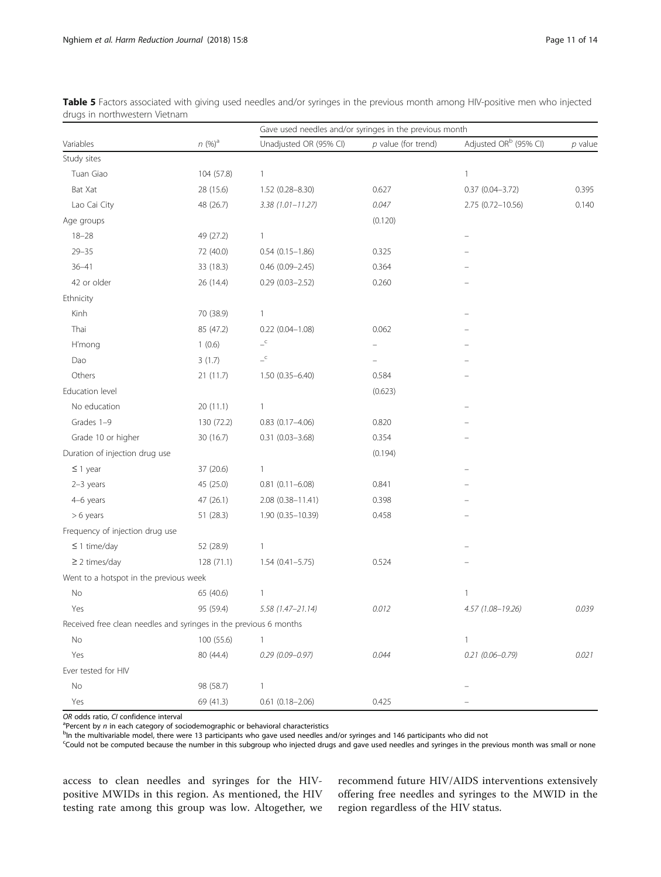|                                                                   |            |                                                            | Gave used needles and/or syringes in the previous month |                                   |           |  |  |  |
|-------------------------------------------------------------------|------------|------------------------------------------------------------|---------------------------------------------------------|-----------------------------------|-----------|--|--|--|
| Variables                                                         | $n (%)^a$  | Unadjusted OR (95% CI)                                     | $p$ value (for trend)                                   | Adjusted OR <sup>b</sup> (95% CI) | $p$ value |  |  |  |
| Study sites                                                       |            |                                                            |                                                         |                                   |           |  |  |  |
| Tuan Giao                                                         | 104 (57.8) | 1                                                          |                                                         | $\overline{1}$                    |           |  |  |  |
| Bat Xat                                                           | 28 (15.6)  | 1.52 (0.28-8.30)                                           | 0.627                                                   | $0.37(0.04 - 3.72)$               | 0.395     |  |  |  |
| Lao Cai City                                                      | 48 (26.7)  | $3.38(1.01 - 11.27)$                                       | 0.047                                                   | 2.75 (0.72-10.56)                 | 0.140     |  |  |  |
| Age groups                                                        |            |                                                            | (0.120)                                                 |                                   |           |  |  |  |
| $18 - 28$                                                         | 49 (27.2)  | 1                                                          |                                                         |                                   |           |  |  |  |
| $29 - 35$                                                         | 72 (40.0)  | $0.54(0.15 - 1.86)$                                        | 0.325                                                   |                                   |           |  |  |  |
| $36 - 41$                                                         | 33 (18.3)  | $0.46(0.09 - 2.45)$                                        | 0.364                                                   |                                   |           |  |  |  |
| 42 or older                                                       | 26 (14.4)  | $0.29(0.03 - 2.52)$                                        | 0.260                                                   |                                   |           |  |  |  |
| Ethnicity                                                         |            |                                                            |                                                         |                                   |           |  |  |  |
| Kinh                                                              | 70 (38.9)  | 1                                                          |                                                         |                                   |           |  |  |  |
| Thai                                                              | 85 (47.2)  | $0.22$ $(0.04 - 1.08)$                                     | 0.062                                                   |                                   |           |  |  |  |
| H'mong                                                            | 1(0.6)     | $-^\mathsf{C}$                                             |                                                         |                                   |           |  |  |  |
| Dao                                                               | 3(1.7)     | $\mathord{\hspace{1pt}\text{--}\hspace{1pt}}^{\mathsf{c}}$ |                                                         |                                   |           |  |  |  |
| Others                                                            | 21(11.7)   | $1.50(0.35 - 6.40)$                                        | 0.584                                                   |                                   |           |  |  |  |
| Education level                                                   |            |                                                            | (0.623)                                                 |                                   |           |  |  |  |
| No education                                                      | 20 (11.1)  | 1                                                          |                                                         |                                   |           |  |  |  |
| Grades 1-9                                                        | 130 (72.2) | $0.83(0.17 - 4.06)$                                        | 0.820                                                   |                                   |           |  |  |  |
| Grade 10 or higher                                                | 30 (16.7)  | $0.31(0.03 - 3.68)$                                        | 0.354                                                   |                                   |           |  |  |  |
| Duration of injection drug use                                    |            |                                                            | (0.194)                                                 |                                   |           |  |  |  |
| $\leq$ 1 year                                                     | 37 (20.6)  | 1                                                          |                                                         |                                   |           |  |  |  |
| $2-3$ years                                                       | 45 (25.0)  | $0.81(0.11 - 6.08)$                                        | 0.841                                                   |                                   |           |  |  |  |
| 4-6 years                                                         | 47 (26.1)  | 2.08 (0.38-11.41)                                          | 0.398                                                   |                                   |           |  |  |  |
| $> 6$ years                                                       | 51 (28.3)  | 1.90 (0.35-10.39)                                          | 0.458                                                   |                                   |           |  |  |  |
| Frequency of injection drug use                                   |            |                                                            |                                                         |                                   |           |  |  |  |
| $\leq$ 1 time/day                                                 | 52 (28.9)  | 1                                                          |                                                         |                                   |           |  |  |  |
| $\geq$ 2 times/day                                                | 128(71.1)  | $1.54(0.41 - 5.75)$                                        | 0.524                                                   |                                   |           |  |  |  |
| Went to a hotspot in the previous week                            |            |                                                            |                                                         |                                   |           |  |  |  |
| No                                                                | 65 (40.6)  | 1                                                          |                                                         | $\overline{1}$                    |           |  |  |  |
| Yes                                                               | 95 (59.4)  | $5.58(1.47 - 21.14)$                                       | 0.012                                                   | 4.57 (1.08-19.26)                 | 0.039     |  |  |  |
| Received free clean needles and syringes in the previous 6 months |            |                                                            |                                                         |                                   |           |  |  |  |
| No                                                                | 100 (55.6) | 1                                                          |                                                         | $\overline{1}$                    |           |  |  |  |
| Yes                                                               | 80 (44.4)  | $0.29(0.09 - 0.97)$                                        | 0.044                                                   | $0.21 (0.06 - 0.79)$              | 0.021     |  |  |  |
| Ever tested for HIV                                               |            |                                                            |                                                         |                                   |           |  |  |  |
| No                                                                | 98 (58.7)  | $\mathbf{1}$                                               |                                                         |                                   |           |  |  |  |
| Yes                                                               | 69 (41.3)  | $0.61(0.18 - 2.06)$                                        | 0.425                                                   |                                   |           |  |  |  |

<span id="page-10-0"></span>Table 5 Factors associated with giving used needles and/or syringes in the previous month among HIV-positive men who injected drugs in northwestern Vietnam

OR odds ratio, CI confidence interval

 $P^a$ Percent by n in each category of sociodemographic or behavioral characteristics

<sup>b</sup>In the multivariable model, there were 13 participants who gave used needles and/or syringes and 146 participants who did not

Could not be computed because the number in this subgroup who injected drugs and gave used needles and syringes in the previous month was small or none

access to clean needles and syringes for the HIVpositive MWIDs in this region. As mentioned, the HIV testing rate among this group was low. Altogether, we

recommend future HIV/AIDS interventions extensively offering free needles and syringes to the MWID in the region regardless of the HIV status.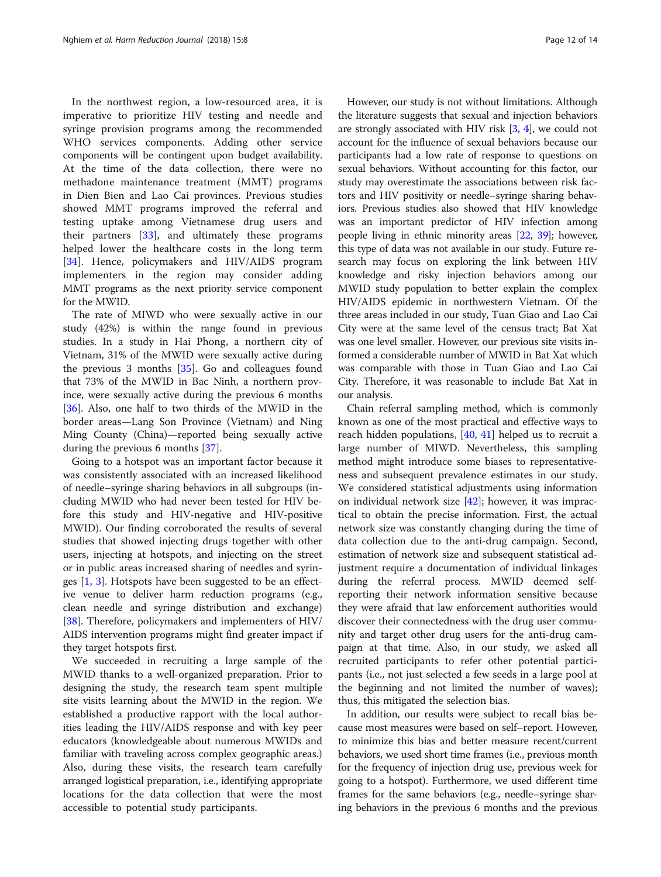In the northwest region, a low-resourced area, it is imperative to prioritize HIV testing and needle and syringe provision programs among the recommended WHO services components. Adding other service components will be contingent upon budget availability. At the time of the data collection, there were no methadone maintenance treatment (MMT) programs in Dien Bien and Lao Cai provinces. Previous studies showed MMT programs improved the referral and testing uptake among Vietnamese drug users and their partners [\[33](#page-13-0)], and ultimately these programs helped lower the healthcare costs in the long term [[34\]](#page-13-0). Hence, policymakers and HIV/AIDS program implementers in the region may consider adding MMT programs as the next priority service component for the MWID.

The rate of MIWD who were sexually active in our study (42%) is within the range found in previous studies. In a study in Hai Phong, a northern city of Vietnam, 31% of the MWID were sexually active during the previous 3 months [[35\]](#page-13-0). Go and colleagues found that 73% of the MWID in Bac Ninh, a northern province, were sexually active during the previous 6 months [[36\]](#page-13-0). Also, one half to two thirds of the MWID in the border areas—Lang Son Province (Vietnam) and Ning Ming County (China)—reported being sexually active during the previous 6 months [[37\]](#page-13-0).

Going to a hotspot was an important factor because it was consistently associated with an increased likelihood of needle–syringe sharing behaviors in all subgroups (including MWID who had never been tested for HIV before this study and HIV-negative and HIV-positive MWID). Our finding corroborated the results of several studies that showed injecting drugs together with other users, injecting at hotspots, and injecting on the street or in public areas increased sharing of needles and syringes  $[1, 3]$  $[1, 3]$  $[1, 3]$  $[1, 3]$ . Hotspots have been suggested to be an effective venue to deliver harm reduction programs (e.g., clean needle and syringe distribution and exchange) [[38\]](#page-13-0). Therefore, policymakers and implementers of HIV/ AIDS intervention programs might find greater impact if they target hotspots first.

We succeeded in recruiting a large sample of the MWID thanks to a well-organized preparation. Prior to designing the study, the research team spent multiple site visits learning about the MWID in the region. We established a productive rapport with the local authorities leading the HIV/AIDS response and with key peer educators (knowledgeable about numerous MWIDs and familiar with traveling across complex geographic areas.) Also, during these visits, the research team carefully arranged logistical preparation, i.e., identifying appropriate locations for the data collection that were the most accessible to potential study participants.

However, our study is not without limitations. Although the literature suggests that sexual and injection behaviors are strongly associated with HIV risk [[3,](#page-12-0) [4\]](#page-12-0), we could not account for the influence of sexual behaviors because our participants had a low rate of response to questions on sexual behaviors. Without accounting for this factor, our study may overestimate the associations between risk factors and HIV positivity or needle–syringe sharing behaviors. Previous studies also showed that HIV knowledge was an important predictor of HIV infection among people living in ethnic minority areas [[22](#page-13-0), [39](#page-13-0)]; however, this type of data was not available in our study. Future research may focus on exploring the link between HIV knowledge and risky injection behaviors among our MWID study population to better explain the complex HIV/AIDS epidemic in northwestern Vietnam. Of the three areas included in our study, Tuan Giao and Lao Cai City were at the same level of the census tract; Bat Xat was one level smaller. However, our previous site visits informed a considerable number of MWID in Bat Xat which was comparable with those in Tuan Giao and Lao Cai City. Therefore, it was reasonable to include Bat Xat in our analysis.

Chain referral sampling method, which is commonly known as one of the most practical and effective ways to reach hidden populations, [\[40,](#page-13-0) [41](#page-13-0)] helped us to recruit a large number of MIWD. Nevertheless, this sampling method might introduce some biases to representativeness and subsequent prevalence estimates in our study. We considered statistical adjustments using information on individual network size  $[42]$ ; however, it was impractical to obtain the precise information. First, the actual network size was constantly changing during the time of data collection due to the anti-drug campaign. Second, estimation of network size and subsequent statistical adjustment require a documentation of individual linkages during the referral process. MWID deemed selfreporting their network information sensitive because they were afraid that law enforcement authorities would discover their connectedness with the drug user community and target other drug users for the anti-drug campaign at that time. Also, in our study, we asked all recruited participants to refer other potential participants (i.e., not just selected a few seeds in a large pool at the beginning and not limited the number of waves); thus, this mitigated the selection bias.

In addition, our results were subject to recall bias because most measures were based on self–report. However, to minimize this bias and better measure recent/current behaviors, we used short time frames (i.e., previous month for the frequency of injection drug use, previous week for going to a hotspot). Furthermore, we used different time frames for the same behaviors (e.g., needle–syringe sharing behaviors in the previous 6 months and the previous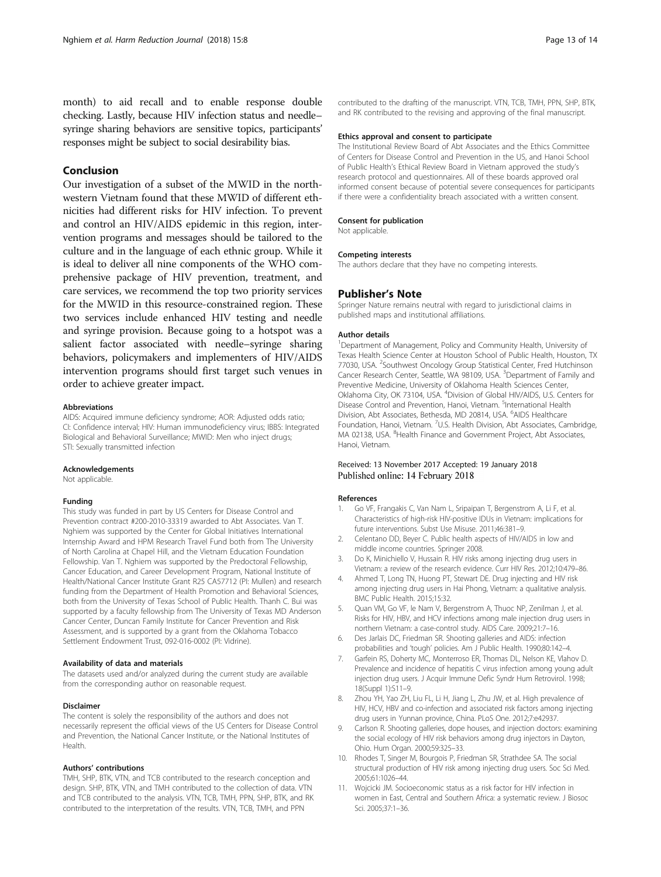<span id="page-12-0"></span>month) to aid recall and to enable response double checking. Lastly, because HIV infection status and needle– syringe sharing behaviors are sensitive topics, participants' responses might be subject to social desirability bias.

## Conclusion

Our investigation of a subset of the MWID in the northwestern Vietnam found that these MWID of different ethnicities had different risks for HIV infection. To prevent and control an HIV/AIDS epidemic in this region, intervention programs and messages should be tailored to the culture and in the language of each ethnic group. While it is ideal to deliver all nine components of the WHO comprehensive package of HIV prevention, treatment, and care services, we recommend the top two priority services for the MWID in this resource-constrained region. These two services include enhanced HIV testing and needle and syringe provision. Because going to a hotspot was a salient factor associated with needle–syringe sharing behaviors, policymakers and implementers of HIV/AIDS intervention programs should first target such venues in order to achieve greater impact.

#### Abbreviations

AIDS: Acquired immune deficiency syndrome; AOR: Adjusted odds ratio; CI: Confidence interval; HIV: Human immunodeficiency virus; IBBS: Integrated Biological and Behavioral Surveillance; MWID: Men who inject drugs; STI: Sexually transmitted infection

#### Acknowledgements

Not applicable.

#### Funding

This study was funded in part by US Centers for Disease Control and Prevention contract #200-2010-33319 awarded to Abt Associates. Van T. Nghiem was supported by the Center for Global Initiatives International Internship Award and HPM Research Travel Fund both from The University of North Carolina at Chapel Hill, and the Vietnam Education Foundation Fellowship. Van T. Nghiem was supported by the Predoctoral Fellowship, Cancer Education, and Career Development Program, National Institute of Health/National Cancer Institute Grant R25 CA57712 (PI: Mullen) and research funding from the Department of Health Promotion and Behavioral Sciences, both from the University of Texas School of Public Health. Thanh C. Bui was supported by a faculty fellowship from The University of Texas MD Anderson Cancer Center, Duncan Family Institute for Cancer Prevention and Risk Assessment, and is supported by a grant from the Oklahoma Tobacco Settlement Endowment Trust, 092-016-0002 (PI: Vidrine).

#### Availability of data and materials

The datasets used and/or analyzed during the current study are available from the corresponding author on reasonable request.

#### Disclaimer

The content is solely the responsibility of the authors and does not necessarily represent the official views of the US Centers for Disease Control and Prevention, the National Cancer Institute, or the National Institutes of Health.

#### Authors' contributions

TMH, SHP, BTK, VTN, and TCB contributed to the research conception and design. SHP, BTK, VTN, and TMH contributed to the collection of data. VTN and TCB contributed to the analysis. VTN, TCB, TMH, PPN, SHP, BTK, and RK contributed to the interpretation of the results. VTN, TCB, TMH, and PPN

contributed to the drafting of the manuscript. VTN, TCB, TMH, PPN, SHP, BTK, and RK contributed to the revising and approving of the final manuscript.

#### Ethics approval and consent to participate

The Institutional Review Board of Abt Associates and the Ethics Committee of Centers for Disease Control and Prevention in the US, and Hanoi School of Public Health's Ethical Review Board in Vietnam approved the study's research protocol and questionnaires. All of these boards approved oral informed consent because of potential severe consequences for participants if there were a confidentiality breach associated with a written consent.

#### Consent for publication

Not applicable.

#### Competing interests

The authors declare that they have no competing interests.

#### Publisher's Note

Springer Nature remains neutral with regard to jurisdictional claims in published maps and institutional affiliations.

#### Author details

<sup>1</sup>Department of Management, Policy and Community Health, University of Texas Health Science Center at Houston School of Public Health, Houston, TX 77030, USA. <sup>2</sup>Southwest Oncology Group Statistical Center, Fred Hutchinson Cancer Research Center, Seattle, WA 98109, USA. <sup>3</sup>Department of Family and Preventive Medicine, University of Oklahoma Health Sciences Center, Oklahoma City, OK 73104, USA. <sup>4</sup>Division of Global HIV/AIDS, U.S. Centers for Disease Control and Prevention, Hanoi, Vietnam. <sup>5</sup>International Health Division, Abt Associates, Bethesda, MD 20814, USA. <sup>6</sup>AIDS Healthcare Foundation, Hanoi, Vietnam. <sup>7</sup>U.S. Health Division, Abt Associates, Cambridge, MA 02138, USA. <sup>8</sup> Health Finance and Government Project, Abt Associates, Hanoi, Vietnam.

#### Received: 13 November 2017 Accepted: 19 January 2018 Published online: 14 February 2018

#### References

- 1. Go VF, Frangakis C, Van Nam L, Sripaipan T, Bergenstrom A, Li F, et al. Characteristics of high-risk HIV-positive IDUs in Vietnam: implications for future interventions. Subst Use Misuse. 2011;46:381–9.
- 2. Celentano DD, Beyer C. Public health aspects of HIV/AIDS in low and middle income countries. Springer 2008.
- 3. Do K, Minichiello V, Hussain R. HIV risks among injecting drug users in Vietnam: a review of the research evidence. Curr HIV Res. 2012;10:479–86.
- 4. Ahmed T, Long TN, Huong PT, Stewart DE. Drug injecting and HIV risk among injecting drug users in Hai Phong, Vietnam: a qualitative analysis. BMC Public Health. 2015;15:32.
- 5. Quan VM, Go VF, le Nam V, Bergenstrom A, Thuoc NP, Zenilman J, et al. Risks for HIV, HBV, and HCV infections among male injection drug users in northern Vietnam: a case-control study. AIDS Care. 2009;21:7–16.
- 6. Des Jarlais DC, Friedman SR. Shooting galleries and AIDS: infection probabilities and 'tough' policies. Am J Public Health. 1990;80:142–4.
- 7. Garfein RS, Doherty MC, Monterroso ER, Thomas DL, Nelson KE, Vlahov D. Prevalence and incidence of hepatitis C virus infection among young adult injection drug users. J Acquir Immune Defic Syndr Hum Retrovirol. 1998; 18(Suppl 1):S11–9.
- 8. Zhou YH, Yao ZH, Liu FL, Li H, Jiang L, Zhu JW, et al. High prevalence of HIV, HCV, HBV and co-infection and associated risk factors among injecting drug users in Yunnan province, China. PLoS One. 2012;7:e42937.
- 9. Carlson R. Shooting galleries, dope houses, and injection doctors: examining the social ecology of HIV risk behaviors among drug injectors in Dayton, Ohio. Hum Organ. 2000;59:325–33.
- 10. Rhodes T, Singer M, Bourgois P, Friedman SR, Strathdee SA. The social structural production of HIV risk among injecting drug users. Soc Sci Med. 2005;61:1026–44.
- 11. Wojcicki JM. Socioeconomic status as a risk factor for HIV infection in women in East, Central and Southern Africa: a systematic review. J Biosoc Sci. 2005;37:1–36.